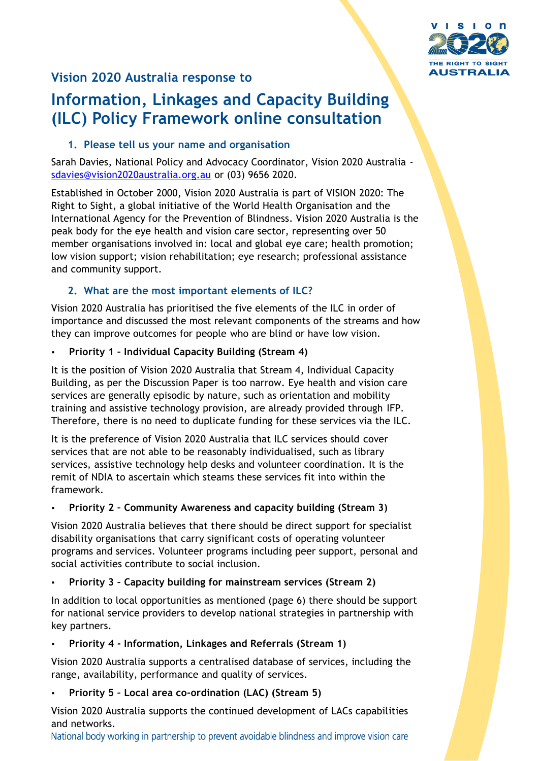

## **Vision 2020 Australia response to**

# **Information, Linkages and Capacity Building (ILC) Policy Framework online consultation**

#### **1. Please tell us your name and organisation**

Sarah Davies, National Policy and Advocacy Coordinator, Vision 2020 Australia [sdavies@vision2020australia.org.au](mailto:sdavies@vision2020australia.org.au) or (03) 9656 2020.

Established in October 2000, Vision 2020 Australia is part of VISION 2020: The Right to Sight, a global initiative of the World Health Organisation and the International Agency for the Prevention of Blindness. Vision 2020 Australia is the peak body for the eye health and vision care sector, representing over 50 member organisations involved in: local and global eye care; health promotion; low vision support; vision rehabilitation; eye research; professional assistance and community support.

## **2. What are the most important elements of ILC?**

Vision 2020 Australia has prioritised the five elements of the ILC in order of importance and discussed the most relevant components of the streams and how they can improve outcomes for people who are blind or have low vision.

#### **Priority 1 – Individual Capacity Building (Stream 4)**

It is the position of Vision 2020 Australia that Stream 4, Individual Capacity Building, as per the Discussion Paper is too narrow. Eye health and vision care services are generally episodic by nature, such as orientation and mobility training and assistive technology provision, are already provided through IFP. Therefore, there is no need to duplicate funding for these services via the ILC.

It is the preference of Vision 2020 Australia that ILC services should cover services that are not able to be reasonably individualised, such as library services, assistive technology help desks and volunteer coordination. It is the remit of NDIA to ascertain which steams these services fit into within the framework.

#### **Priority 2 – Community Awareness and capacity building (Stream 3)**

Vision 2020 Australia believes that there should be direct support for specialist disability organisations that carry significant costs of operating volunteer programs and services. Volunteer programs including peer support, personal and social activities contribute to social inclusion.

## **Priority 3 – Capacity building for mainstream services (Stream 2)**

In addition to local opportunities as mentioned (page 6) there should be support for national service providers to develop national strategies in partnership with key partners.

#### **Priority 4 - Information, Linkages and Referrals (Stream 1)**

Vision 2020 Australia supports a centralised database of services, including the range, availability, performance and quality of services.

## **Priority 5 – Local area co-ordination (LAC) (Stream 5)**

Vision 2020 Australia supports the continued development of LACs capabilities and networks.

National body working in partnership to prevent avoidable blindness and improve vision care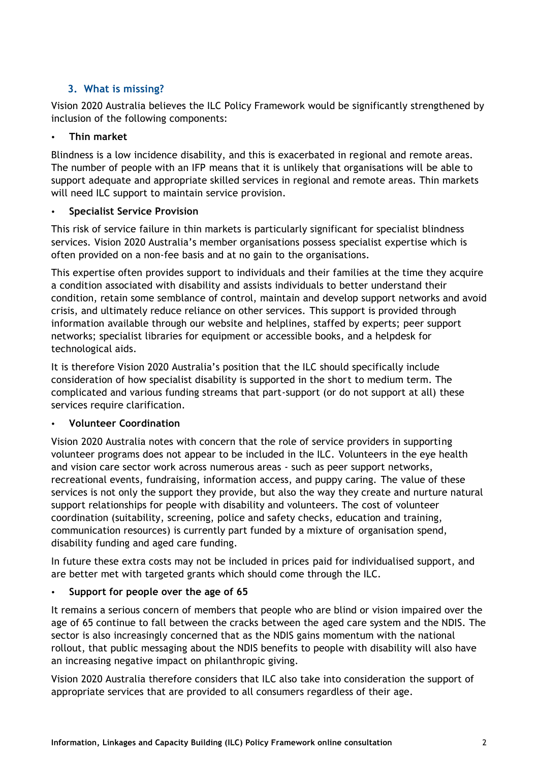## **3. What is missing?**

Vision 2020 Australia believes the ILC Policy Framework would be significantly strengthened by inclusion of the following components:

#### **Thin market**

Blindness is a low incidence disability, and this is exacerbated in regional and remote areas. The number of people with an IFP means that it is unlikely that organisations will be able to support adequate and appropriate skilled services in regional and remote areas. Thin markets will need ILC support to maintain service provision.

#### **Specialist Service Provision**

This risk of service failure in thin markets is particularly significant for specialist blindness services. Vision 2020 Australia's member organisations possess specialist expertise which is often provided on a non-fee basis and at no gain to the organisations.

This expertise often provides support to individuals and their families at the time they acquire a condition associated with disability and assists individuals to better understand their condition, retain some semblance of control, maintain and develop support networks and avoid crisis, and ultimately reduce reliance on other services. This support is provided through information available through our website and helplines, staffed by experts; peer support networks; specialist libraries for equipment or accessible books, and a helpdesk for technological aids.

It is therefore Vision 2020 Australia's position that the ILC should specifically include consideration of how specialist disability is supported in the short to medium term. The complicated and various funding streams that part-support (or do not support at all) these services require clarification.

#### **Volunteer Coordination**

Vision 2020 Australia notes with concern that the role of service providers in supporting volunteer programs does not appear to be included in the ILC. Volunteers in the eye health and vision care sector work across numerous areas - such as peer support networks, recreational events, fundraising, information access, and puppy caring. The value of these services is not only the support they provide, but also the way they create and nurture natural support relationships for people with disability and volunteers. The cost of volunteer coordination (suitability, screening, police and safety checks, education and training, communication resources) is currently part funded by a mixture of organisation spend, disability funding and aged care funding.

In future these extra costs may not be included in prices paid for individualised support, and are better met with targeted grants which should come through the ILC.

#### **Support for people over the age of 65**

It remains a serious concern of members that people who are blind or vision impaired over the age of 65 continue to fall between the cracks between the aged care system and the NDIS. The sector is also increasingly concerned that as the NDIS gains momentum with the national rollout, that public messaging about the NDIS benefits to people with disability will also have an increasing negative impact on philanthropic giving.

Vision 2020 Australia therefore considers that ILC also take into consideration the support of appropriate services that are provided to all consumers regardless of their age.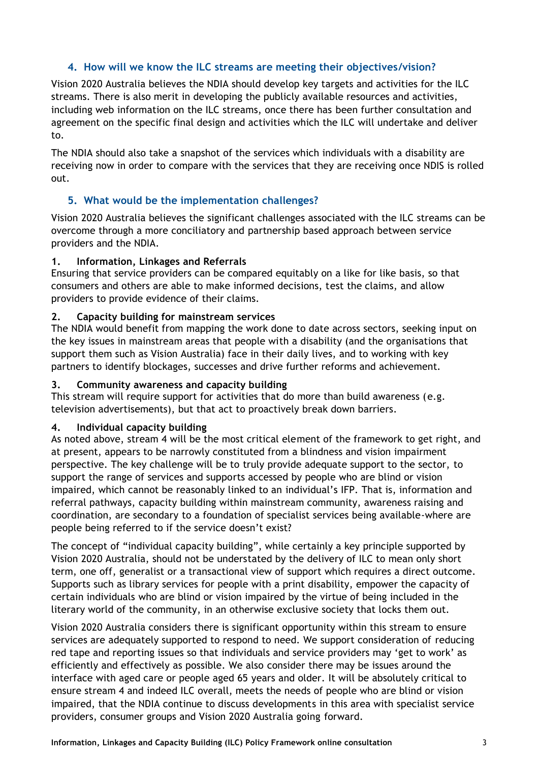### **4. How will we know the ILC streams are meeting their objectives/vision?**

Vision 2020 Australia believes the NDIA should develop key targets and activities for the ILC streams. There is also merit in developing the publicly available resources and activities, including web information on the ILC streams, once there has been further consultation and agreement on the specific final design and activities which the ILC will undertake and deliver to.

The NDIA should also take a snapshot of the services which individuals with a disability are receiving now in order to compare with the services that they are receiving once NDIS is rolled out.

#### **5. What would be the implementation challenges?**

Vision 2020 Australia believes the significant challenges associated with the ILC streams can be overcome through a more conciliatory and partnership based approach between service providers and the NDIA.

#### **1. Information, Linkages and Referrals**

Ensuring that service providers can be compared equitably on a like for like basis, so that consumers and others are able to make informed decisions, test the claims, and allow providers to provide evidence of their claims.

#### **2. Capacity building for mainstream services**

The NDIA would benefit from mapping the work done to date across sectors, seeking input on the key issues in mainstream areas that people with a disability (and the organisations that support them such as Vision Australia) face in their daily lives, and to working with key partners to identify blockages, successes and drive further reforms and achievement.

#### **3. Community awareness and capacity building**

This stream will require support for activities that do more than build awareness (e.g. television advertisements), but that act to proactively break down barriers.

#### **4. Individual capacity building**

As noted above, stream 4 will be the most critical element of the framework to get right, and at present, appears to be narrowly constituted from a blindness and vision impairment perspective. The key challenge will be to truly provide adequate support to the sector, to support the range of services and supports accessed by people who are blind or vision impaired, which cannot be reasonably linked to an individual's IFP. That is, information and referral pathways, capacity building within mainstream community, awareness raising and coordination, are secondary to a foundation of specialist services being available-where are people being referred to if the service doesn't exist?

The concept of "individual capacity building", while certainly a key principle supported by Vision 2020 Australia, should not be understated by the delivery of ILC to mean only short term, one off, generalist or a transactional view of support which requires a direct outcome. Supports such as library services for people with a print disability, empower the capacity of certain individuals who are blind or vision impaired by the virtue of being included in the literary world of the community, in an otherwise exclusive society that locks them out.

Vision 2020 Australia considers there is significant opportunity within this stream to ensure services are adequately supported to respond to need. We support consideration of reducing red tape and reporting issues so that individuals and service providers may 'get to work' as efficiently and effectively as possible. We also consider there may be issues around the interface with aged care or people aged 65 years and older. It will be absolutely critical to ensure stream 4 and indeed ILC overall, meets the needs of people who are blind or vision impaired, that the NDIA continue to discuss developments in this area with specialist service providers, consumer groups and Vision 2020 Australia going forward.